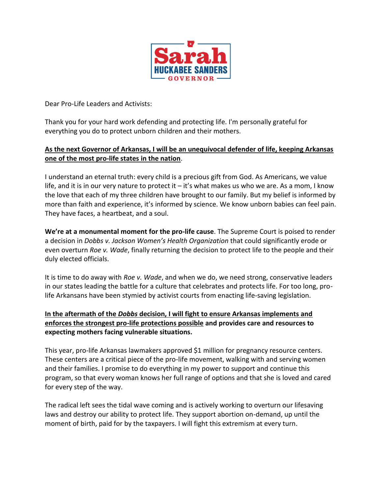

Dear Pro-Life Leaders and Activists:

Thank you for your hard work defending and protecting life. I'm personally grateful for everything you do to protect unborn children and their mothers.

## **As the next Governor of Arkansas, I will be an unequivocal defender of life, keeping Arkansas one of the most pro-life states in the nation**.

I understand an eternal truth: every child is a precious gift from God. As Americans, we value life, and it is in our very nature to protect it – it's what makes us who we are. As a mom, I know the love that each of my three children have brought to our family. But my belief is informed by more than faith and experience, it's informed by science. We know unborn babies can feel pain. They have faces, a heartbeat, and a soul.

**We're at a monumental moment for the pro-life cause**. The Supreme Court is poised to render a decision in *Dobbs v. Jackson Women's Health Organization* that could significantly erode or even overturn *Roe v. Wade*, finally returning the decision to protect life to the people and their duly elected officials.

It is time to do away with *Roe v. Wade*, and when we do, we need strong, conservative leaders in our states leading the battle for a culture that celebrates and protects life. For too long, prolife Arkansans have been stymied by activist courts from enacting life-saving legislation.

## **In the aftermath of the** *Dobbs* **decision, I will fight to ensure Arkansas implements and enforces the strongest pro-life protections possible and provides care and resources to expecting mothers facing vulnerable situations.**

This year, pro-life Arkansas lawmakers approved \$1 million for pregnancy resource centers. These centers are a critical piece of the pro-life movement, walking with and serving women and their families. I promise to do everything in my power to support and continue this program, so that every woman knows her full range of options and that she is loved and cared for every step of the way.

The radical left sees the tidal wave coming and is actively working to overturn our lifesaving laws and destroy our ability to protect life. They support abortion on-demand, up until the moment of birth, paid for by the taxpayers. I will fight this extremism at every turn.